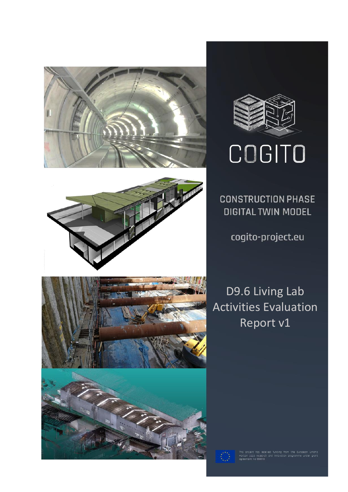







# COGITO

**CONSTRUCTION PHASE DIGITAL TWIN MODEL** 

cogito-project.eu

D9.6 Living Lab Activities Evaluation Report v1

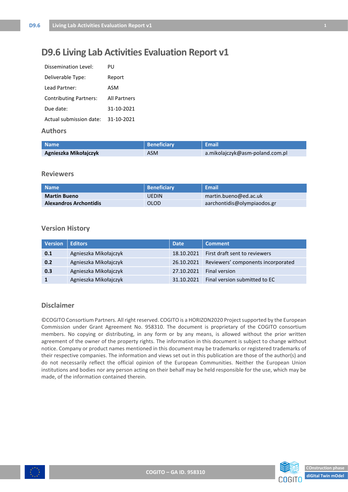# **D9.6 Living Lab Activities Evaluation Report v1**

| Dissemination Level:          | PU                  |
|-------------------------------|---------------------|
| Deliverable Type:             | Report              |
| Lead Partner:                 | ASM                 |
| <b>Contributing Partners:</b> | <b>All Partners</b> |
| Due date:                     | 31-10-2021          |
| Actual submission date:       | 31-10-2021          |

## **Authors**

| <b>Name</b>           | <b>Beneficiary</b> | <b>LEmail</b>                   |
|-----------------------|--------------------|---------------------------------|
| Agnieszka Mikołajczyk | <b>ASM</b>         | a.mikolajczyk@asm-poland.com.pl |

#### **Reviewers**

| <b>Name</b>                   | Beneficiary  | $\mathsf{Email}$            |
|-------------------------------|--------------|-----------------------------|
| <b>Martin Bueno</b>           | <b>UEDIN</b> | martin.bueno@ed.ac.uk       |
| <b>Alexandros Archontidis</b> | OLOD         | aarchontidis@olympiaodos.gr |

#### **Version History**

| <b>Version</b> | <b>Editors</b>        | <b>Date</b> | <b>Comment</b>                     |
|----------------|-----------------------|-------------|------------------------------------|
| 0.1            | Agnieszka Mikołajczyk | 18.10.2021  | First draft sent to reviewers      |
| 0.2            | Agnieszka Mikołajczyk | 26.10.2021  | Reviewers' components incorporated |
| 0.3            | Agnieszka Mikołajczyk | 27.10.2021  | Final version                      |
|                | Agnieszka Mikołajczyk | 31.10.2021  | Final version submitted to EC      |

### **Disclaimer**

©COGITO Consortium Partners. All right reserved. COGITO is a HORIZON2020 Project supported by the European Commission under Grant Agreement No. 958310. The document is proprietary of the COGITO consortium members. No copying or distributing, in any form or by any means, is allowed without the prior written agreement of the owner of the property rights. The information in this document is subject to change without notice. Company or product names mentioned in this document may be trademarks or registered trademarks of their respective companies. The information and views set out in this publication are those of the author(s) and do not necessarily reflect the official opinion of the European Communities. Neither the European Union institutions and bodies nor any person acting on their behalf may be held responsible for the use, which may be made, of the information contained therein.



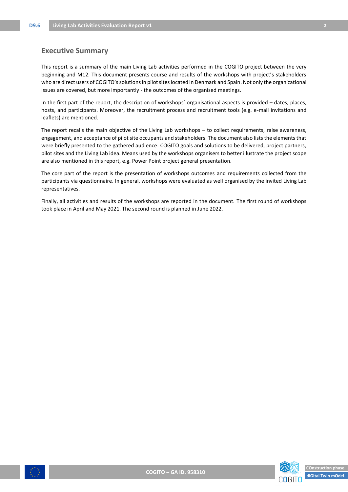### <span id="page-2-0"></span>**Executive Summary**

This report is a summary of the main Living Lab activities performed in the COGITO project between the very beginning and M12. This document presents course and results of the workshops with project's stakeholders who are direct users of COGITO's solutions in pilot sites located in Denmark and Spain. Not only the organizational issues are covered, but more importantly - the outcomes of the organised meetings.

In the first part of the report, the description of workshops' organisational aspects is provided – dates, places, hosts, and participants. Moreover, the recruitment process and recruitment tools (e.g. e-mail invitations and leaflets) are mentioned.

The report recalls the main objective of the Living Lab workshops – to collect requirements, raise awareness, engagement, and acceptance of pilot site occupants and stakeholders. The document also lists the elements that were briefly presented to the gathered audience: COGITO goals and solutions to be delivered, project partners, pilot sites and the Living Lab idea. Means used by the workshops organisers to better illustrate the project scope are also mentioned in this report, e.g. Power Point project general presentation.

The core part of the report is the presentation of workshops outcomes and requirements collected from the participants via questionnaire. In general, workshops were evaluated as well organised by the invited Living Lab representatives.

Finally, all activities and results of the workshops are reported in the document. The first round of workshops took place in April and May 2021. The second round is planned in June 2022.



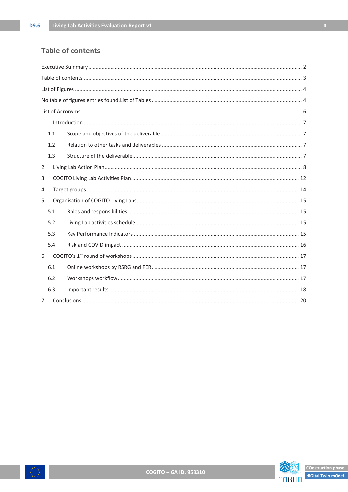# <span id="page-3-0"></span>**Table of contents**

| $\mathbf{1}$   |     |  |  |  |  |  |
|----------------|-----|--|--|--|--|--|
|                | 1.1 |  |  |  |  |  |
|                | 1.2 |  |  |  |  |  |
|                | 1.3 |  |  |  |  |  |
| 2              |     |  |  |  |  |  |
| 3              |     |  |  |  |  |  |
| 4              |     |  |  |  |  |  |
| 5              |     |  |  |  |  |  |
|                | 5.1 |  |  |  |  |  |
|                | 5.2 |  |  |  |  |  |
|                | 5.3 |  |  |  |  |  |
|                | 5.4 |  |  |  |  |  |
| 6              |     |  |  |  |  |  |
|                | 6.1 |  |  |  |  |  |
|                | 6.2 |  |  |  |  |  |
|                | 6.3 |  |  |  |  |  |
| $\overline{7}$ |     |  |  |  |  |  |



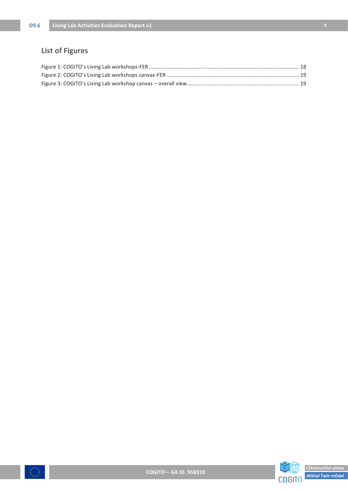# <span id="page-4-0"></span>**List of Figures**

<span id="page-4-1"></span>



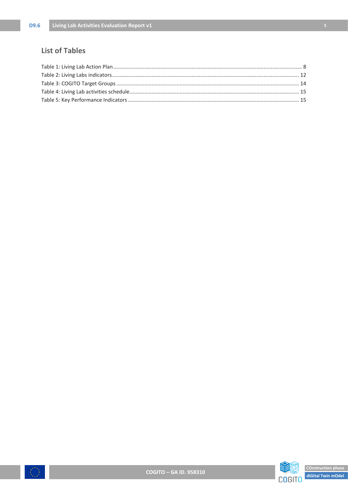# **List of Tables**



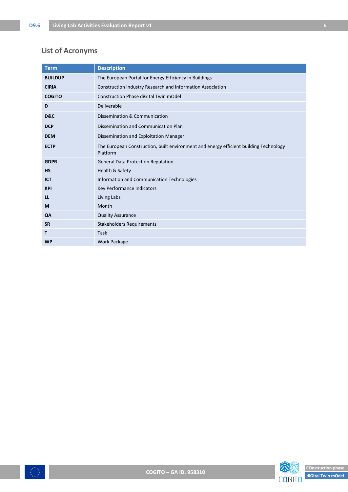# <span id="page-6-0"></span>**List of Acronyms**

| <b>Term</b>    | <b>Description</b>                                                                                |
|----------------|---------------------------------------------------------------------------------------------------|
| <b>BUILDUP</b> | The European Portal for Energy Efficiency in Buildings                                            |
| <b>CIRIA</b>   | Construction Industry Research and Information Association                                        |
| <b>COGITO</b>  | Construction Phase diGItal Twin mOdel                                                             |
| D              | Deliverable                                                                                       |
| <b>D&amp;C</b> | Dissemination & Communication                                                                     |
| <b>DCP</b>     | Dissemination and Communication Plan                                                              |
| <b>DEM</b>     | Dissemination and Exploitation Manager                                                            |
| <b>ECTP</b>    | The European Construction, built environment and energy efficient building Technology<br>Platform |
| <b>GDPR</b>    | General Data Protection Regulation                                                                |
| <b>HS</b>      | Health & Safety                                                                                   |
| ICT            | Information and Communication Technologies                                                        |
| <b>KPI</b>     | Key Performance Indicators                                                                        |
| LL             | Living Labs                                                                                       |
| M              | Month                                                                                             |
| QA             | <b>Quality Assurance</b>                                                                          |
| <b>SR</b>      | <b>Stakeholders Requirements</b>                                                                  |
| Τ              | <b>Task</b>                                                                                       |
| <b>WP</b>      | <b>Work Package</b>                                                                               |



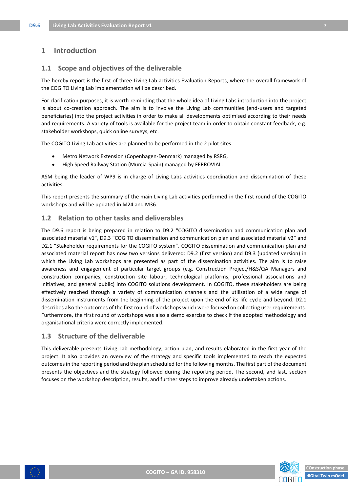## <span id="page-7-0"></span>**1 Introduction**

#### <span id="page-7-1"></span>**1.1 Scope and objectives of the deliverable**

The hereby report is the first of three Living Lab activities Evaluation Reports, where the overall framework of the COGITO Living Lab implementation will be described.

For clarification purposes, it is worth reminding that the whole idea of Living Labs introduction into the project is about co-creation approach. The aim is to involve the Living Lab communities (end-users and targeted beneficiaries) into the project activities in order to make all developments optimised according to their needs and requirements. A variety of tools is available for the project team in order to obtain constant feedback, e.g. stakeholder workshops, quick online surveys, etc.

The COGITO Living Lab activities are planned to be performed in the 2 pilot sites:

- Metro Network Extension (Copenhagen-Denmark) managed by RSRG,
- High Speed Railway Station (Murcia-Spain) managed by FERROVIAL.

ASM being the leader of WP9 is in charge of Living Labs activities coordination and dissemination of these activities.

This report presents the summary of the main Living Lab activities performed in the first round of the COGITO workshops and will be updated in M24 and M36.

#### <span id="page-7-2"></span>**1.2 Relation to other tasks and deliverables**

The D9.6 report is being prepared in relation to D9.2 "COGITO dissemination and communication plan and associated material v1", D9.3 "COGITO dissemination and communication plan and associated material v2" and D2.1 "Stakeholder requirements for the COGITO system". COGITO dissemination and communication plan and associated material report has now two versions delivered: D9.2 (first version) and D9.3 (updated version) in which the Living Lab workshops are presented as part of the dissemination activities. The aim is to raise awareness and engagement of particular target groups (e.g. Construction Project/H&S/QA Managers and construction companies, construction site labour, technological platforms, professional associations and initiatives, and general public) into COGITO solutions development. In COGITO, these stakeholders are being effectively reached through a variety of communication channels and the utilisation of a wide range of dissemination instruments from the beginning of the project upon the end of its life cycle and beyond. D2.1 describes also the outcomes of the first round of workshops which were focused on collecting user requirements. Furthermore, the first round of workshops was also a demo exercise to check if the adopted methodology and organisational criteria were correctly implemented.

#### <span id="page-7-3"></span>**1.3 Structure of the deliverable**

This deliverable presents Living Lab methodology, action plan, and results elaborated in the first year of the project. It also provides an overview of the strategy and specific tools implemented to reach the expected outcomes in the reporting period and the plan scheduled for the following months. The first part of the document presents the objectives and the strategy followed during the reporting period. The second, and last, section focuses on the workshop description, results, and further steps to improve already undertaken actions.



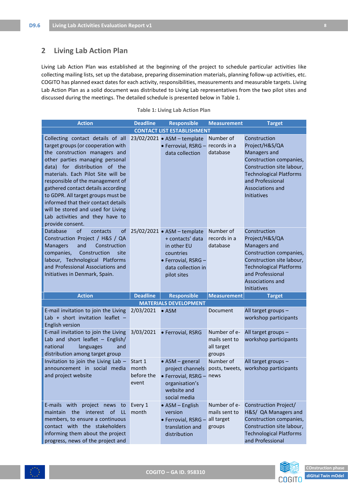## <span id="page-8-0"></span>**2 Living Lab Action Plan**

Living Lab Action Plan was established at the beginning of the project to schedule particular activities like collecting mailing lists, set up the database, preparing dissemination materials, planning follow-up activities, etc. COGITO has planned exact dates for each activity, responsibilities, measurements and measurable targets. Living Lab Action Plan as a solid document was distributed to Living Lab representatives from the two pilot sites and discussed during the meetings. The detailed schedule is presented below in [Table 1.](#page-8-1)

#### **Table 1: Living Lab Action Plan**

<span id="page-8-1"></span>

| <b>Action</b>                                                                                                                                                                                                                                                                                                                                                                                                                                                          | <b>Deadline</b>                         | <b>Responsible</b>                                                                                                                      | <b>Measurement</b>                                    | <b>Target</b>                                                                                                                                                                                   |
|------------------------------------------------------------------------------------------------------------------------------------------------------------------------------------------------------------------------------------------------------------------------------------------------------------------------------------------------------------------------------------------------------------------------------------------------------------------------|-----------------------------------------|-----------------------------------------------------------------------------------------------------------------------------------------|-------------------------------------------------------|-------------------------------------------------------------------------------------------------------------------------------------------------------------------------------------------------|
|                                                                                                                                                                                                                                                                                                                                                                                                                                                                        |                                         | <b>CONTACT LIST ESTABLISHMENT</b>                                                                                                       |                                                       |                                                                                                                                                                                                 |
| Collecting contact details of all<br>target groups (or cooperation with<br>the construction managers and<br>other parties managing personal<br>data) for distribution of the<br>materials. Each Pilot Site will be<br>responsible of the management of<br>gathered contact details according<br>to GDPR. All target groups must be<br>informed that their contact details<br>will be stored and used for Living<br>Lab activities and they have to<br>provide consent. |                                         | 23/02/2021 • ASM - template<br>· Ferrovial, RSRG -<br>data collection                                                                   | Number of<br>records in a<br>database                 | Construction<br>Project/H&S/QA<br>Managers and<br>Construction companies,<br>Construction site labour,<br><b>Technological Platforms</b><br>and Professional<br>Associations and<br>Initiatives |
| Database<br>of<br>contacts<br>οf<br>Construction Project / H&S / QA<br>Construction<br><b>Managers</b><br>and<br>companies,<br>Construction<br>site<br>labour, Technological Platforms<br>and Professional Associations and<br>Initiatives in Denmark, Spain.                                                                                                                                                                                                          |                                         | 25/02/2021 • ASM - template<br>+ contacts' data<br>in other EU<br>countries<br>· Ferrovial, RSRG -<br>data collection in<br>pilot sites | Number of<br>records in a<br>database                 | Construction<br>Project/H&S/QA<br>Managers and<br>Construction companies,<br>Construction site labour,<br><b>Technological Platforms</b><br>and Professional<br>Associations and<br>Initiatives |
| <b>Action</b>                                                                                                                                                                                                                                                                                                                                                                                                                                                          | <b>Deadline</b>                         | <b>Responsible</b>                                                                                                                      | <b>Measurement</b>                                    | <b>Target</b>                                                                                                                                                                                   |
|                                                                                                                                                                                                                                                                                                                                                                                                                                                                        |                                         | <b>MATERIALS DEVELOPMENT</b>                                                                                                            |                                                       |                                                                                                                                                                                                 |
| E-mail invitation to join the Living<br>Lab + short invitation leaflet $-$<br><b>English version</b>                                                                                                                                                                                                                                                                                                                                                                   | 2/03/2021                               | $\bullet$ ASM                                                                                                                           | Document                                              | All target groups -<br>workshop participants                                                                                                                                                    |
| E-mail invitation to join the Living<br>Lab and short leaflet - English/<br>national<br>languages<br>and<br>distribution among target group                                                                                                                                                                                                                                                                                                                            | 3/03/2021                               | • Ferrovial, RSRG                                                                                                                       | Number of e-<br>mails sent to<br>all target<br>groups | All target groups -<br>workshop participants                                                                                                                                                    |
| Invitation to join the Living Lab -<br>announcement in social media<br>and project website                                                                                                                                                                                                                                                                                                                                                                             | Start 1<br>month<br>before the<br>event | $\bullet$ ASM - general<br>project channels<br>• Ferrovial, RSRG -<br>organisation's<br>website and<br>social media                     | Number of<br>news                                     | All target groups -<br>posts, tweets, workshop participants                                                                                                                                     |
| E-mails with<br>project news to<br>maintain<br>the<br>interest<br>of<br>LL<br>members, to ensure a continuous<br>contact with the stakeholders<br>informing them about the project<br>progress, news of the project and                                                                                                                                                                                                                                                | Every 1<br>month                        | $\bullet$ ASM - English<br>version<br>· Ferrovial, RSRG -<br>translation and<br>distribution                                            | Number of e-<br>mails sent to<br>all target<br>groups | Construction Project/<br>H&S/ QA Managers and<br>Construction companies,<br>Construction site labour,<br><b>Technological Platforms</b><br>and Professional                                     |



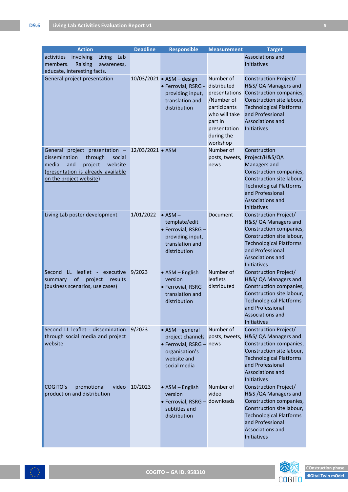| <b>Action</b>                                                                                                                                                               | <b>Deadline</b>  | <b>Responsible</b>                                                                                               | <b>Measurement</b>                                                                                                                            | <b>Target</b>                                                                                                                                                                                          |
|-----------------------------------------------------------------------------------------------------------------------------------------------------------------------------|------------------|------------------------------------------------------------------------------------------------------------------|-----------------------------------------------------------------------------------------------------------------------------------------------|--------------------------------------------------------------------------------------------------------------------------------------------------------------------------------------------------------|
| activities<br>involving<br>Living<br>Lab<br>members.<br>Raising<br>awareness,<br>educate, interesting facts.                                                                |                  |                                                                                                                  |                                                                                                                                               | Associations and<br>Initiatives                                                                                                                                                                        |
| General project presentation                                                                                                                                                |                  | 10/03/2021 • ASM - design<br>· Ferrovial, RSRG -<br>providing input,<br>translation and<br>distribution          | Number of<br>distributed<br>presentations<br>/Number of<br>participants<br>who will take<br>part in<br>presentation<br>during the<br>workshop | Construction Project/<br>H&S/ QA Managers and<br>Construction companies,<br>Construction site labour,<br><b>Technological Platforms</b><br>and Professional<br>Associations and<br><b>Initiatives</b>  |
| General project presentation -<br>dissemination<br>through<br>social<br>media<br>and<br>project<br>website<br>(presentation is already available<br>on the project website) | 12/03/2021 • ASM |                                                                                                                  | Number of<br>posts, tweets,<br>news                                                                                                           | Construction<br>Project/H&S/QA<br>Managers and<br>Construction companies,<br>Construction site labour,<br><b>Technological Platforms</b><br>and Professional<br>Associations and<br><b>Initiatives</b> |
| Living Lab poster development                                                                                                                                               | 1/01/2022        | $\bullet$ ASM $-$<br>template/edit<br>· Ferrovial, RSRG -<br>providing input,<br>translation and<br>distribution | Document                                                                                                                                      | Construction Project/<br>H&S/ QA Managers and<br>Construction companies,<br>Construction site labour,<br><b>Technological Platforms</b><br>and Professional<br>Associations and<br><b>Initiatives</b>  |
| LL leaflet -<br>Second<br>executive<br>of<br>results<br>project<br>summary<br>(business scenarios, use cases)                                                               | 9/2023           | • ASM - English<br>version<br>• Ferrovial, RSRG -<br>translation and<br>distribution                             | Number of<br>leaflets<br>distributed                                                                                                          | Construction Project/<br>H&S/ QA Managers and<br>Construction companies,<br>Construction site labour,<br><b>Technological Platforms</b><br>and Professional<br>Associations and<br><b>Initiatives</b>  |
| Second LL leaflet - dissemination<br>through social media and project<br>website                                                                                            | 9/2023           | • ASM - general<br>project channels<br>· Ferrovial, RSRG -<br>organisation's<br>website and<br>social media      | Number of<br>posts, tweets,<br>news                                                                                                           | Construction Project/<br>H&S/ QA Managers and<br>Construction companies,<br>Construction site labour,<br><b>Technological Platforms</b><br>and Professional<br>Associations and<br><b>Initiatives</b>  |
| COGITO's<br>promotional<br>video<br>production and distribution                                                                                                             | 10/2023          | • ASM - English<br>version<br>• Ferrovial, RSRG -<br>subtitles and<br>distribution                               | Number of<br>video<br>downloads                                                                                                               | Construction Project/<br>H&S /QA Managers and<br>Construction companies,<br>Construction site labour,<br><b>Technological Platforms</b><br>and Professional<br>Associations and<br>Initiatives         |



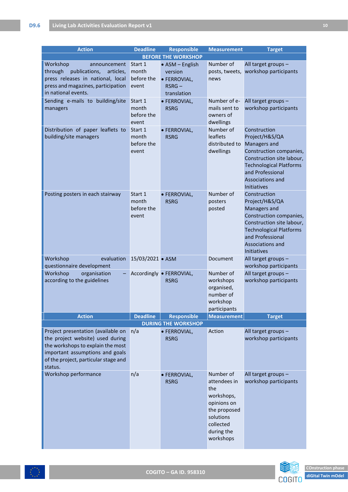| <b>Action</b>                                                                                                                                                                                     | <b>Deadline</b>                         | <b>Responsible</b>                                                            | <b>Measurement</b>                                                                                                                 | <b>Target</b>                                                                                                                                                                                                 |
|---------------------------------------------------------------------------------------------------------------------------------------------------------------------------------------------------|-----------------------------------------|-------------------------------------------------------------------------------|------------------------------------------------------------------------------------------------------------------------------------|---------------------------------------------------------------------------------------------------------------------------------------------------------------------------------------------------------------|
|                                                                                                                                                                                                   |                                         | <b>BEFORE THE WORKSHOP</b>                                                    |                                                                                                                                    |                                                                                                                                                                                                               |
| Workshop<br>announcement<br>through<br>publications,<br>articles,<br>press releases in national, local<br>press and magazines, participation<br>in national events.                               | Start 1<br>month<br>before the<br>event | $\bullet$ ASM - English<br>version<br>· FERROVIAL,<br>$RSRG -$<br>translation | Number of<br>news                                                                                                                  | All target groups -<br>posts, tweets, workshop participants                                                                                                                                                   |
| Sending e-mails to building/site<br>managers                                                                                                                                                      | Start 1<br>month<br>before the<br>event | · FERROVIAL,<br><b>RSRG</b>                                                   | Number of e-<br>mails sent to<br>owners of<br>dwellings                                                                            | All target groups -<br>workshop participants                                                                                                                                                                  |
| Distribution of paper leaflets to<br>building/site managers                                                                                                                                       | Start 1<br>month<br>before the<br>event | · FERROVIAL,<br><b>RSRG</b>                                                   | Number of<br>leaflets<br>distributed to<br>dwellings                                                                               | Construction<br>Project/H&S/QA<br><b>Managers and</b><br>Construction companies,<br>Construction site labour,<br><b>Technological Platforms</b><br>and Professional<br>Associations and<br><b>Initiatives</b> |
| Posting posters in each stairway                                                                                                                                                                  | Start 1<br>month<br>before the<br>event | · FERROVIAL,<br><b>RSRG</b>                                                   | Number of<br>posters<br>posted                                                                                                     | Construction<br>Project/H&S/QA<br>Managers and<br>Construction companies,<br>Construction site labour,<br><b>Technological Platforms</b><br>and Professional<br>Associations and<br>Initiatives               |
| Workshop<br>evaluation<br>questionnaire development                                                                                                                                               | 15/03/2021 • ASM                        |                                                                               | Document                                                                                                                           | All target groups -<br>workshop participants                                                                                                                                                                  |
| Workshop<br>organisation<br>according to the guidelines                                                                                                                                           |                                         | Accordingly • FERROVIAL,<br><b>RSRG</b>                                       | Number of<br>workshops<br>organised,<br>number of<br>workshop<br>participants                                                      | All target groups -<br>workshop participants                                                                                                                                                                  |
| <b>Action</b>                                                                                                                                                                                     | <b>Deadline</b>                         | <b>Responsible</b>                                                            | <b>Measurement</b>                                                                                                                 | <b>Target</b>                                                                                                                                                                                                 |
|                                                                                                                                                                                                   |                                         | <b>DURING THE WORKSHOP</b>                                                    |                                                                                                                                    |                                                                                                                                                                                                               |
| Project presentation (available on<br>the project website) used during<br>the workshops to explain the most<br>important assumptions and goals<br>of the project, particular stage and<br>status. | n/a                                     | · FERROVIAL,<br><b>RSRG</b>                                                   | Action                                                                                                                             | All target groups -<br>workshop participants                                                                                                                                                                  |
| Workshop performance                                                                                                                                                                              | n/a                                     | · FERROVIAL,<br><b>RSRG</b>                                                   | Number of<br>attendees in<br>the<br>workshops,<br>opinions on<br>the proposed<br>solutions<br>collected<br>during the<br>workshops | All target groups -<br>workshop participants                                                                                                                                                                  |



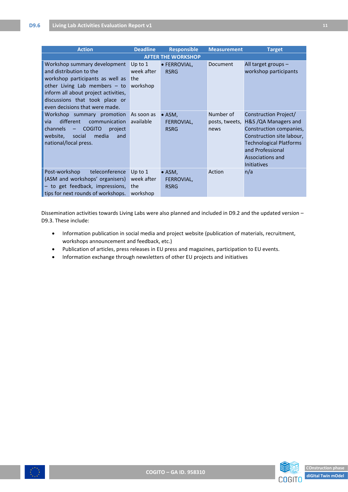| <b>Action</b>                                                                                                                                                                                                                                  | <b>Deadline</b>                                   | <b>Responsible</b>                          | <b>Measurement</b>                  | <b>Target</b>                                                                                                                                                                                         |  |
|------------------------------------------------------------------------------------------------------------------------------------------------------------------------------------------------------------------------------------------------|---------------------------------------------------|---------------------------------------------|-------------------------------------|-------------------------------------------------------------------------------------------------------------------------------------------------------------------------------------------------------|--|
| <b>AFTER THE WORKSHOP</b>                                                                                                                                                                                                                      |                                                   |                                             |                                     |                                                                                                                                                                                                       |  |
| Workshop summary development<br>and distribution to the<br>workshop participants as well as the<br>other Living Lab members $-$ to<br>inform all about project activities,<br>discussions that took place or<br>even decisions that were made. | Up to 1<br>week after<br>workshop                 | • FERROVIAL,<br><b>RSRG</b>                 | Document                            | All target groups $-$<br>workshop participants                                                                                                                                                        |  |
| Workshop summary promotion As soon as<br>different<br>via<br>communication available<br><b>COGITO</b><br>channels<br>project<br>$\overline{\phantom{m}}$<br>media<br>website,<br>social<br>and<br>national/local press.                        |                                                   | $\bullet$ ASM,<br>FERROVIAL,<br><b>RSRG</b> | Number of<br>posts, tweets,<br>news | Construction Project/<br>H&S /QA Managers and<br>Construction companies,<br>Construction site labour,<br><b>Technological Platforms</b><br>and Professional<br>Associations and<br><b>Initiatives</b> |  |
| Post-workshop<br>teleconference<br>(ASM and workshops' organisers)<br>to get feedback, impressions,<br>tips for next rounds of workshops.                                                                                                      | Up to $1$<br>week after<br><b>the</b><br>workshop | $\bullet$ ASM,<br>FERROVIAL,<br><b>RSRG</b> | Action                              | n/a                                                                                                                                                                                                   |  |

Dissemination activities towards Living Labs were also planned and included in D9.2 and the updated version – D9.3. These include:

- Information publication in social media and project website (publication of materials, recruitment, workshops announcement and feedback, etc.)
- Publication of articles, press releases in EU press and magazines, participation to EU events.
- Information exchange through newsletters of other EU projects and initiatives





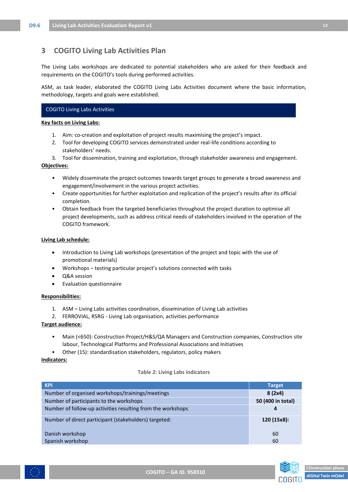# <span id="page-12-0"></span>**3 COGITO Living Lab Activities Plan**

The Living Labs workshops are dedicated to potential stakeholders who are asked for their feedback and requirements on the COGITO's tools during performed activities.

ASM, as task leader, elaborated the COGITO Living Labs Activities document where the basic information, methodology, targets and goals were established.

#### COGITO Living Labs Activities

#### **Key facts on Living Labs:**

- 1. Aim: co-creation and exploitation of project results maximising the project's impact.
- 2. Tool for developing COGITO services demonstrated under real-life conditions according to stakeholders' needs.

3. Tool for dissemination, training and exploitation, through stakeholder awareness and engagement. **Objectives:**

- Widely disseminate the project outcomes towards target groups to generate a broad awareness and engagement/involvement in the various project activities.
- Create opportunities for further exploitation and replication of the project's results after its official completion.
- Obtain feedback from the targeted beneficiaries throughout the project duration to optimise all project developments, such as address critical needs of stakeholders involved in the operation of the COGITO framework.

#### **Living Lab schedule:**

- Introduction to Living Lab workshops (presentation of the project and topic with the use of promotional materials)
- Workshops testing particular project's solutions connected with tasks
- Q&A session
- Evaluation questionnaire

#### **Responsibilities:**

- 1. ASM Living Labs activities coordination, dissemination of Living Lab activities
- 2. FERROVIAL, RSRG Living Lab organisation, activities performance

#### **Target audience:**

- Main (<650): Construction Project/H&S/QA Managers and Construction companies, Construction site labour, Technological Platforms and Professional Associations and Initiatives
- Other (15): standardisation stakeholders, regulators, policy makers

#### <span id="page-12-1"></span>**Indicators:**

#### **Table 2: Living Labs indicators**

| <b>KPI</b>                                                  | <b>Target</b>     |
|-------------------------------------------------------------|-------------------|
| Number of organised workshops/trainings/meetings            | 8(2x4)            |
| Number of participants to the workshops                     | 50 (400 in total) |
| Number of follow-up activities resulting from the workshops | 4                 |
| Number of direct participant (stakeholders) targeted:       | 120 (15x8):       |
| Danish workshop                                             | 60                |
| Spanish workshop                                            | 60                |



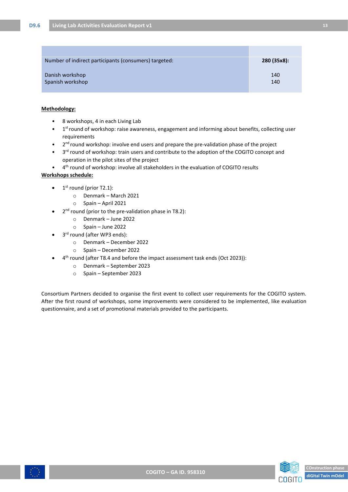| Number of indirect participants (consumers) targeted: | 280 (35x8): |
|-------------------------------------------------------|-------------|
|                                                       |             |
| Danish workshop                                       | 140         |
| Spanish workshop                                      | 140         |
|                                                       |             |

#### **Methodology:**

- 8 workshops, 4 in each Living Lab
- 1<sup>st</sup> round of workshop: raise awareness, engagement and informing about benefits, collecting user requirements
- 2<sup>nd</sup> round workshop: involve end users and prepare the pre-validation phase of the project
- 3<sup>rd</sup> round of workshop: train users and contribute to the adoption of the COGITO concept and operation in the pilot sites of the project
- 4<sup>th</sup> round of workshop: involve all stakeholders in the evaluation of COGITO results

#### **Workshops schedule:**

- $\bullet$  1<sup>st</sup> round (prior T2.1):
	- o Denmark March 2021
	- o Spain April 2021
- 2<sup>nd</sup> round (prior to the pre-validation phase in T8.2):
	- o Denmark June 2022
	- o Spain June 2022
- 3<sup>rd</sup> round (after WP3 ends):
	- o Denmark December 2022
	- o Spain December 2022
- 4<sup>th</sup> round (after T8.4 and before the impact assessment task ends (Oct 2023)):
	- o Denmark September 2023
	- o Spain September 2023

Consortium Partners decided to organise the first event to collect user requirements for the COGITO system. After the first round of workshops, some improvements were considered to be implemented, like evaluation questionnaire, and a set of promotional materials provided to the participants.



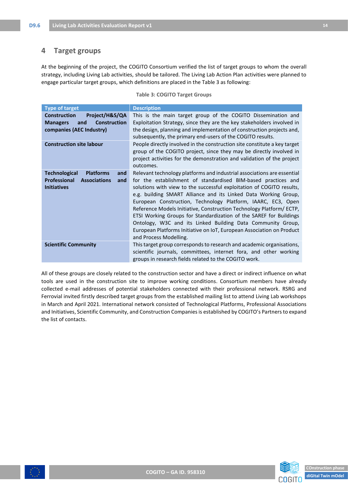## <span id="page-14-0"></span>**4 Target groups**

At the beginning of the project, the COGITO Consortium verified the list of target groups to whom the overall strategy, including Living Lab activities, should be tailored. The Living Lab Action Plan activities were planned to engage particular target groups, which definitions are placed in the Table 3 as following:

#### **Table 3: COGITO Target Groups**

<span id="page-14-1"></span>

| <b>Type of target</b>                                                                                                      | <b>Description</b>                                                                                                                                                                                                                                                                                                                                                                                                                                                                                                                                                                                                                                                  |
|----------------------------------------------------------------------------------------------------------------------------|---------------------------------------------------------------------------------------------------------------------------------------------------------------------------------------------------------------------------------------------------------------------------------------------------------------------------------------------------------------------------------------------------------------------------------------------------------------------------------------------------------------------------------------------------------------------------------------------------------------------------------------------------------------------|
| <b>Construction</b><br>Project/H&S/QA<br><b>Construction</b><br>and<br><b>Managers</b><br>companies (AEC Industry)         | This is the main target group of the COGITO Dissemination and<br>Exploitation Strategy, since they are the key stakeholders involved in<br>the design, planning and implementation of construction projects and,<br>subsequently, the primary end-users of the COGITO results.                                                                                                                                                                                                                                                                                                                                                                                      |
| <b>Construction site labour</b>                                                                                            | People directly involved in the construction site constitute a key target<br>group of the COGITO project, since they may be directly involved in<br>project activities for the demonstration and validation of the project<br>outcomes.                                                                                                                                                                                                                                                                                                                                                                                                                             |
| <b>Technological</b><br><b>Platforms</b><br>and<br><b>Professional</b><br><b>Associations</b><br>and<br><b>Initiatives</b> | Relevant technology platforms and industrial associations are essential<br>for the establishment of standardised BIM-based practices and<br>solutions with view to the successful exploitation of COGITO results,<br>e.g. building SMART Alliance and its Linked Data Working Group,<br>European Construction, Technology Platform, IAARC, EC3, Open<br>Reference Models Initiative, Construction Technology Platform/ECTP,<br>ETSI Working Groups for Standardization of the SAREF for Buildings<br>Ontology, W3C and its Linked Building Data Community Group,<br>European Platforms Initiative on IoT, European Association on Product<br>and Process Modelling. |
| <b>Scientific Community</b>                                                                                                | This target group corresponds to research and academic organisations,<br>scientific journals, committees, internet fora, and other working<br>groups in research fields related to the COGITO work.                                                                                                                                                                                                                                                                                                                                                                                                                                                                 |

All of these groups are closely related to the construction sector and have a direct or indirect influence on what tools are used in the construction site to improve working conditions. Consortium members have already collected e-mail addresses of potential stakeholders connected with their professional network. RSRG and Ferrovial invited firstly described target groups from the established mailing list to attend Living Lab workshops in March and April 2021. International network consisted of Technological Platforms, Professional Associations and Initiatives, Scientific Community, and Construction Companies is established by COGITO's Partners to expand the list of contacts.

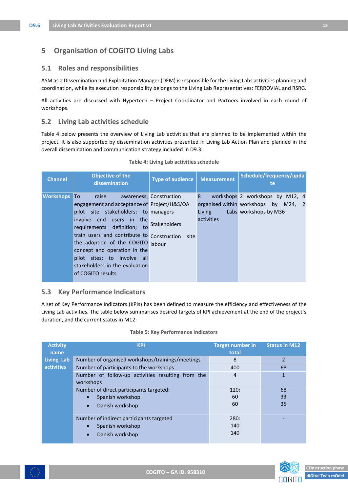# <span id="page-15-0"></span>**5 Organisation of COGITO Living Labs**

#### <span id="page-15-1"></span>**5.1 Roles and responsibilities**

ASM as a Dissemination and Exploitation Manager (DEM) is responsible for the Living Labs activities planning and coordination, while its execution responsibility belongs to the Living Lab Representatives: FERROVIAL and RSRG.

All activities are discussed with Hypertech – Project Coordinator and Partners involved in each round of workshops.

#### <span id="page-15-2"></span>**5.2 Living Lab activities schedule**

[Table 4](#page-15-4) below presents the overview of Living Lab activities that are planned to be implemented within the project. It is also supported by dissemination activities presented in Living Lab Action Plan and planned in the overall dissemination and communication strategy included in D9.3.

<span id="page-15-4"></span>

| <b>Channel</b>   | Objective of the<br>dissemination                          | <b>Type of audience</b> | <b>Measurement</b> | Schedule/frequency/upda<br>te.       |
|------------------|------------------------------------------------------------|-------------------------|--------------------|--------------------------------------|
| <b>Workshops</b> | To<br>raise                                                | awareness, Construction | 8                  | workshops 2 workshops by M12, 4      |
|                  | engagement and acceptance of Project/H&S/QA                |                         |                    | organised within workshops by M24, 2 |
|                  | pilot site stakeholders; to managers                       |                         | Living             | Labs workshops by M36                |
|                  | involve end users in the<br>requirements definition;<br>to | <b>Stakeholders</b>     | activities         |                                      |
|                  | train users and contribute to                              | Construction site       |                    |                                      |
|                  | the adoption of the COGITO labour                          |                         |                    |                                      |
|                  | concept and operation in the                               |                         |                    |                                      |
|                  | pilot sites; to involve all                                |                         |                    |                                      |
|                  | stakeholders in the evaluation                             |                         |                    |                                      |
|                  | of COGITO results                                          |                         |                    |                                      |
|                  |                                                            |                         |                    |                                      |

#### **Table 4: Living Lab activities schedule**

## <span id="page-15-3"></span>**5.3 Key Performance Indicators**

A set of Key Performance Indicators (KPIs) has been defined to measure the efficiency and effectiveness of the Living Lab activities. The table below summarises desired targets of KPI achievement at the end of the project's duration, and the current status in M12:

<span id="page-15-5"></span>

| <b>Activity</b><br>name | <b>KPI</b>                                                     | <b>Target number in</b><br>total | <b>Status in M12</b> |
|-------------------------|----------------------------------------------------------------|----------------------------------|----------------------|
| <b>Living Lab</b>       | Number of organised workshops/trainings/meetings               | 8                                | $\overline{2}$       |
| <b>activities</b>       | Number of participants to the workshops                        | 400                              | 68                   |
|                         | Number of follow-up activities resulting from the<br>workshops | 4                                |                      |
|                         | Number of direct participants targeted:                        | 120:                             | 68                   |
|                         | Spanish workshop                                               | 60                               | 33                   |
|                         | Danish workshop                                                | 60                               | 35                   |
|                         | Number of indirect participants targeted                       | 280:                             |                      |
|                         | Spanish workshop                                               | 140                              |                      |
|                         | Danish workshop<br>$\bullet$                                   | 140                              |                      |



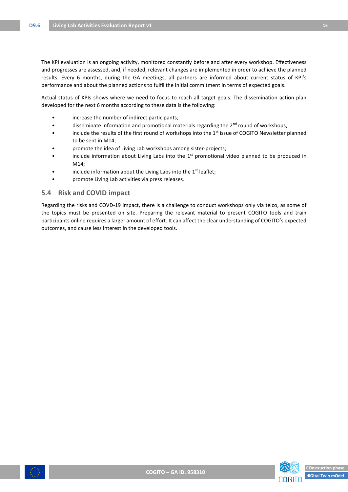The KPI evaluation is an ongoing activity, monitored constantly before and after every workshop. Effectiveness and progresses are assessed, and, if needed, relevant changes are implemented in order to achieve the planned results. Every 6 months, during the GA meetings, all partners are informed about current status of KPI's performance and about the planned actions to fulfil the initial commitment in terms of expected goals.

Actual status of KPIs shows where we need to focus to reach all target goals. The dissemination action plan developed for the next 6 months according to these data is the following:

- increase the number of indirect participants;
- $\bullet$  disseminate information and promotional materials regarding the 2<sup>nd</sup> round of workshops;
- include the results of the first round of workshops into the 1<sup>st</sup> issue of COGITO Newsletter planned to be sent in M14;
- promote the idea of Living Lab workshops among sister-projects;
- include information about Living Labs into the 1<sup>st</sup> promotional video planned to be produced in M14;
- include information about the Living Labs into the 1<sup>st</sup> leaflet;
- promote Living Lab activities via press releases.

#### <span id="page-16-0"></span>**5.4 Risk and COVID impact**

Regarding the risks and COVD-19 impact, there is a challenge to conduct workshops only via telco, as some of the topics must be presented on site. Preparing the relevant material to present COGITO tools and train participants online requires a larger amount of effort. It can affect the clear understanding of COGITO's expected outcomes, and cause less interest in the developed tools.



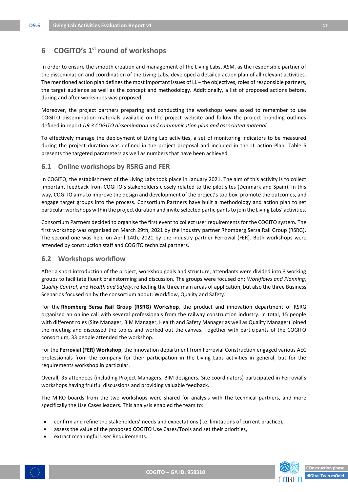# <span id="page-17-0"></span>**6 COGITO's 1st round of workshops**

In order to ensure the smooth creation and management of the Living Labs, ASM, as the responsible partner of the dissemination and coordination of the Living Labs, developed a detailed action plan of all relevant activities. The mentioned action plan defines the most important issues of LL – the objectives, roles of responsible partners, the target audience as well as the concept and methodology. Additionally, a list of proposed actions before, during and after workshops was proposed.

Moreover, the project partners preparing and conducting the workshops were asked to remember to use COGITO dissemination materials available on the project website and follow the project branding outlines defined in report *D9.3 COGITO dissemination and communication plan and associated material.*

To effectively manage the deployment of Living Lab activities, a set of monitoring indicators to be measured during the project duration was defined in the project proposal and included in the LL action Plan. [Table 5](#page-15-5) presents the targeted parameters as well as numbers that have been achieved.

#### <span id="page-17-1"></span>**6.1 Online workshops by RSRG and FER**

In COGITO, the establishment of the Living Labs took place in January 2021. The aim of this activity is to collect important feedback from COGITO's stakeholders closely related to the pilot sites (Denmark and Spain). In this way, COGITO aims to improve the design and development of the project's toolbox, promote the outcomes, and engage target groups into the process. Consortium Partners have built a methodology and action plan to set particular workshops within the project duration and invite selected participants to join the Living Labs' activities.

Consortium Partners decided to organise the first event to collect user requirements for the COGITO system. The first workshop was organised on March 29th, 2021 by the industry partner Rhomberg Sersa Rail Group (RSRG). The second one was held on April 14th, 2021 by the industry partner Ferrovial (FER). Both workshops were attended by construction staff and COGITO technical partners.

#### <span id="page-17-2"></span>**6.2 Workshops workflow**

After a short introduction of the project, workshop goals and structure, attendants were divided into 3 working groups to facilitate fluent brainstorming and discussion. The groups were focused on: *Workflows and Planning*, *Quality Control*, and *Health and Safety*, reflecting the three main areas of application, but also the three Business Scenarios focused on by the consortium about: Workflow, Quality and Safety.

For the **Rhomberg Sersa Rail Group (RSRG) Workshop**, the product and innovation department of RSRG organised an online call with several professionals from the railway construction industry. In total, 15 people with different roles (Site Manager, BIM Manager, Health and Safety Manager as well as Quality Manager) joined the meeting and discussed the topics and worked out the canvas. Together with participants of the COGITO consortium, 33 people attended the workshop.

For the **Ferrovial (FER) Workshop**, the Innovation department from Ferrovial Construction engaged various AEC professionals from the company for their participation in the Living Labs activities in general, but for the requirements workshop in particular.

Overall, 35 attendees (including Project Managers, BIM designers, Site coordinators) participated in Ferrovial's workshops having fruitful discussions and providing valuable feedback.

The MIRO boards from the two workshops were shared for analysis with the technical partners, and more specifically the Use Cases leaders. This analysis enabled the team to:

- confirm and refine the stakeholders' needs and expectations (i.e. limitations of current practice),
- assess the value of the proposed COGITO Use Cases/Tools and set their priorities,
- extract meaningful User Requirements.



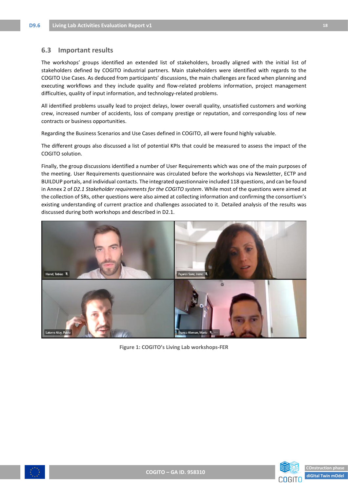#### <span id="page-18-0"></span>**6.3 Important results**

The workshops' groups identified an extended list of stakeholders, broadly aligned with the initial list of stakeholders defined by COGITO industrial partners. Main stakeholders were identified with regards to the COGITO Use Cases. As deduced from participants' discussions, the main challenges are faced when planning and executing workflows and they include quality and flow-related problems information, project management difficulties, quality of input information, and technology-related problems.

All identified problems usually lead to project delays, lower overall quality, unsatisfied customers and working crew, increased number of accidents, loss of company prestige or reputation, and corresponding loss of new contracts or business opportunities.

Regarding the Business Scenarios and Use Cases defined in COGITO, all were found highly valuable.

The different groups also discussed a list of potential KPIs that could be measured to assess the impact of the COGITO solution.

Finally, the group discussions identified a number of User Requirements which was one of the main purposes of the meeting. User Requirements questionnaire was circulated before the workshops via Newsletter, ECTP and BUILDUP portals, and individual contacts. The integrated questionnaire included 118 questions, and can be found in Annex 2 of *D2.1 Stakeholder requirements for the COGITO system*. While most of the questions were aimed at the collection of SRs, other questions were also aimed at collecting information and confirming the consortium's existing understanding of current practice and challenges associated to it. Detailed analysis of the results was discussed during both workshops and described in D2.1.



**Figure 1: COGITO's Living Lab workshops-FER**



<span id="page-18-1"></span>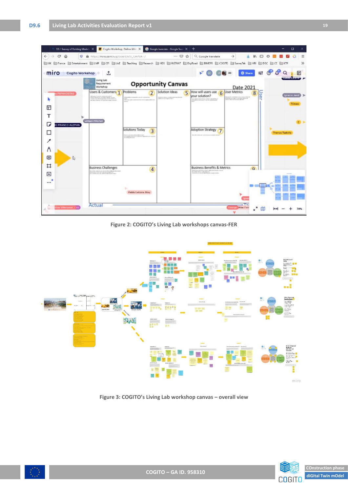

**Figure 2: COGITO's Living Lab workshops canvas-FER**

<span id="page-19-0"></span>

<span id="page-19-1"></span>**Figure 3: COGITO's Living Lab workshop canvas – overall view**

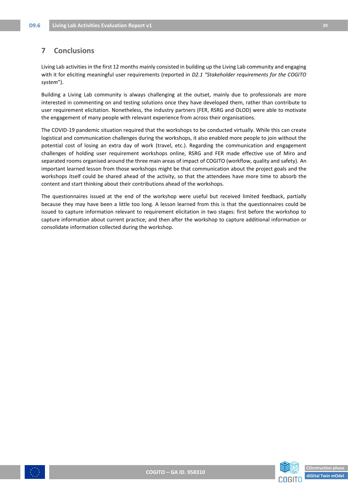# <span id="page-20-0"></span>**7 Conclusions**

Living Lab activities in the first 12 months mainly consisted in building up the Living Lab community and engaging with it for eliciting meaningful user requirements (reported in *D2.1 "Stakeholder requirements for the COGITO system*").

Building a Living Lab community is always challenging at the outset, mainly due to professionals are more interested in commenting on and testing solutions once they have developed them, rather than contribute to user requirement elicitation. Nonetheless, the industry partners (FER, RSRG and OLOD) were able to motivate the engagement of many people with relevant experience from across their organisations.

The COVID-19 pandemic situation required that the workshops to be conducted virtually. While this can create logistical and communication challenges during the workshops, it also enabled more people to join without the potential cost of losing an extra day of work (travel, etc.). Regarding the communication and engagement challenges of holding user requirement workshops online, RSRG and FER made effective use of Miro and separated rooms organised around the three main areas of impact of COGITO (workflow, quality and safety). An important learned lesson from those workshops might be that communication about the project goals and the workshops itself could be shared ahead of the activity, so that the attendees have more time to absorb the content and start thinking about their contributions ahead of the workshops.

The questionnaires issued at the end of the workshop were useful but received limited feedback, partially because they may have been a little too long. A lesson learned from this is that the questionnaires could be issued to capture information relevant to requirement elicitation in two stages: first before the workshop to capture information about current practice; and then after the workshop to capture additional information or consolidate information collected during the workshop.